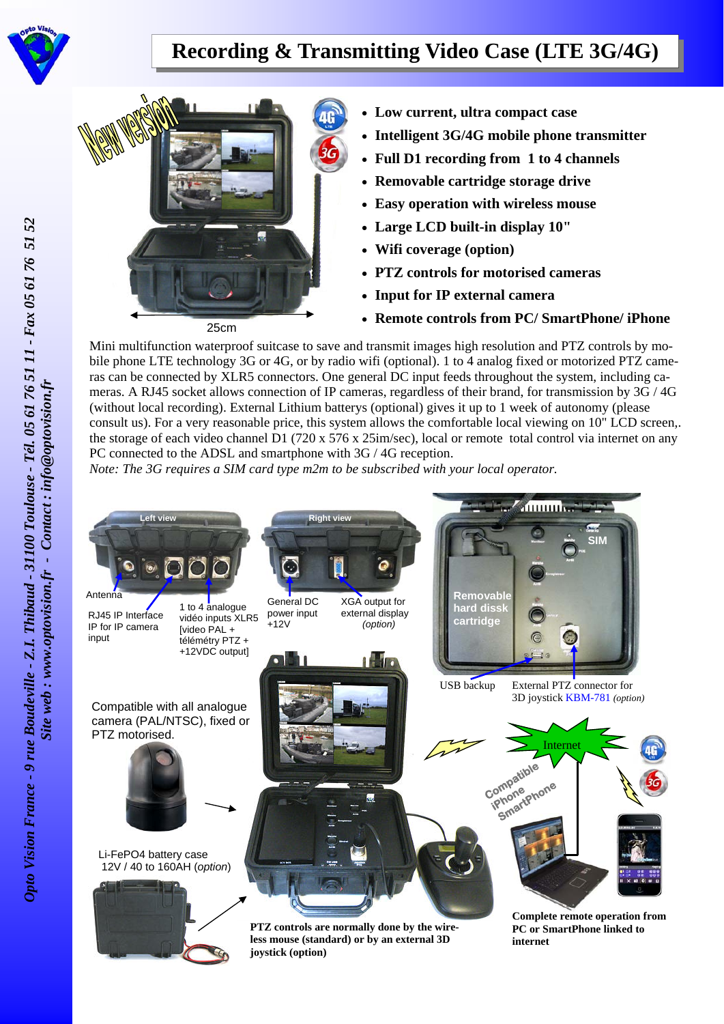

## **Recording & Transmitting Video Case (LTE 3G/4G)**



- **Low current, ultra compact case**
- **Intelligent 3G/4G mobile phone transmitter**
- **Full D1 recording from 1 to 4 channels**
- **Removable cartridge storage drive**
- **Easy operation with wireless mouse**
- **Large LCD built-in display 10"**
- **Wifi coverage (option)**
- **PTZ controls for motorised cameras**
- **Input for IP external camera**
- **Remote controls from PC/ SmartPhone/ iPhone**

Mini multifunction waterproof suitcase to save and transmit images high resolution and PTZ controls by mobile phone LTE technology 3G or 4G, or by radio wifi (optional). 1 to 4 analog fixed or motorized PTZ cameras can be connected by XLR5 connectors. One general DC input feeds throughout the system, including cameras. A RJ45 socket allows connection of IP cameras, regardless of their brand, for transmission by 3G / 4G (without local recording). External Lithium batterys (optional) gives it up to 1 week of autonomy (please consult us). For a very reasonable price, this system allows the comfortable local viewing on 10" LCD screen,. the storage of each video channel D1 (720 x 576 x 25im/sec), local or remote total control via internet on any PC connected to the ADSL and smartphone with 3G / 4G reception.

*Note: The 3G requires a SIM card type m2m to be subscribed with your local operator.* 



*Opto Vision France - 9 rue Boudeville - Z.I. Thibaud - 31100 Toulouse - Tél. 05 61 76 51 11 - Fax 05 61 76 51 52*  Opto Vision France - 9 rue Boudeville - Z.I. Thibaud - 31100 Toulouse - Tél. 05 61 76 51 11 - Fax 05 61 76 51 52 *Site web : www.optovision.fr - Contact : info@optovision.fr*  Site web : www.optovision.fr - Contact : info@optovision.fr